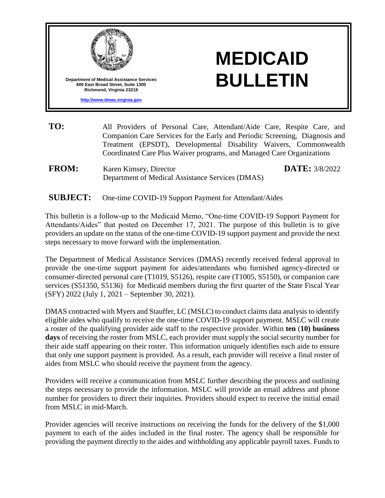

## **MEDICAID BULLETIN**

- **TO:** All Providers of Personal Care, Attendant/Aide Care, Respite Care, and Companion Care Services for the Early and Periodic Screening, Diagnosis and Treatment (EPSDT), Developmental Disability Waivers, Commonwealth Coordinated Care Plus Waiver programs, and Managed Care Organizations
- **FROM:** Karen Kimsey, Director Department of Medical Assistance Services (DMAS)

**DATE:** 3/8/2022

## **SUBJECT:** One-time COVID-19 Support Payment for Attendant/Aides

This bulletin is a follow-up to the Medicaid Memo, "One-time COVID-19 Support Payment for Attendants/Aides" that posted on December 17, 2021. The purpose of this bulletin is to give providers an update on the status of the one-time COVID-19 support payment and provide the next steps necessary to move forward with the implementation.

The Department of Medical Assistance Services (DMAS) recently received federal approval to provide the one-time support payment for aides/attendants who furnished agency-directed or consumer-directed personal care (T1019, S5126), respite care (T1005, S5150), or companion care services (S51350, S5136) for Medicaid members during the first quarter of the State Fiscal Year (SFY) 2022 (July 1, 2021 – September 30, 2021).

DMAS contracted with Myers and Stauffer, LC (MSLC) to conduct claims data analysis to identify eligible aides who qualify to receive the one-time COVID-19 support payment. MSLC will create a roster of the qualifying provider aide staff to the respective provider. Within **ten** (**10) business days** of receiving the roster from MSLC, each provider must supply the social security number for their aide staff appearing on their roster. This information uniquely identifies each aide to ensure that only one support payment is provided. As a result, each provider will receive a final roster of aides from MSLC who should receive the payment from the agency.

Providers will receive a communication from MSLC further describing the process and outlining the steps necessary to provide the information. MSLC will provide an email address and phone number for providers to direct their inquiries. Providers should expect to receive the initial email from MSLC in mid-March.

Provider agencies will receive instructions on receiving the funds for the delivery of the \$1,000 payment to each of the aides included in the final roster. The agency shall be responsible for providing the payment directly to the aides and withholding any applicable payroll taxes. Funds to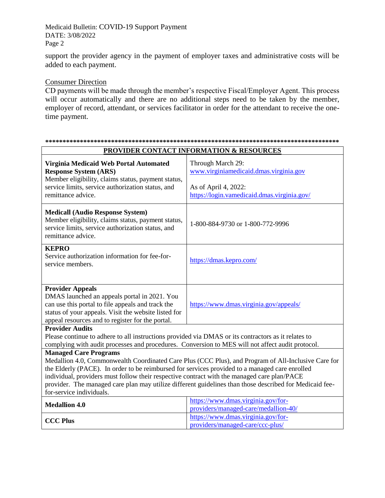Medicaid Bulletin: COVID-19 Support Payment DATE: 3/08/2022 Page 2

support the provider agency in the payment of employer taxes and administrative costs will be added to each payment.

## Consumer Direction

CD payments will be made through the member's respective Fiscal/Employer Agent. This process will occur automatically and there are no additional steps need to be taken by the member, employer of record, attendant, or services facilitator in order for the attendant to receive the onetime payment.

| PROVIDER CONTACT INFORMATION & RESOURCES                                                                                                                                                                                                                                                                                                                                                                                                                                    |                                                                                                                                    |  |
|-----------------------------------------------------------------------------------------------------------------------------------------------------------------------------------------------------------------------------------------------------------------------------------------------------------------------------------------------------------------------------------------------------------------------------------------------------------------------------|------------------------------------------------------------------------------------------------------------------------------------|--|
| Virginia Medicaid Web Portal Automated<br><b>Response System (ARS)</b><br>Member eligibility, claims status, payment status,<br>service limits, service authorization status, and<br>remittance advice.                                                                                                                                                                                                                                                                     | Through March 29:<br>www.virginiamedicaid.dmas.virginia.gov<br>As of April 4, 2022:<br>https://login.vamedicaid.dmas.virginia.gov/ |  |
| <b>Medicall (Audio Response System)</b><br>Member eligibility, claims status, payment status,<br>service limits, service authorization status, and<br>remittance advice.                                                                                                                                                                                                                                                                                                    | 1-800-884-9730 or 1-800-772-9996                                                                                                   |  |
| <b>KEPRO</b><br>Service authorization information for fee-for-<br>service members.                                                                                                                                                                                                                                                                                                                                                                                          | https://dmas.kepro.com/                                                                                                            |  |
| <b>Provider Appeals</b><br>DMAS launched an appeals portal in 2021. You<br>can use this portal to file appeals and track the<br>status of your appeals. Visit the website listed for<br>appeal resources and to register for the portal.                                                                                                                                                                                                                                    | https://www.dmas.virginia.gov/appeals/                                                                                             |  |
| <b>Provider Audits</b><br>Please continue to adhere to all instructions provided via DMAS or its contractors as it relates to<br>complying with audit processes and procedures. Conversion to MES will not affect audit protocol.                                                                                                                                                                                                                                           |                                                                                                                                    |  |
| <b>Managed Care Programs</b><br>Medallion 4.0, Commonwealth Coordinated Care Plus (CCC Plus), and Program of All-Inclusive Care for<br>the Elderly (PACE). In order to be reimbursed for services provided to a managed care enrolled<br>individual, providers must follow their respective contract with the managed care plan/PACE<br>provider. The managed care plan may utilize different guidelines than those described for Medicaid fee-<br>for-service individuals. |                                                                                                                                    |  |
| <b>Medallion 4.0</b>                                                                                                                                                                                                                                                                                                                                                                                                                                                        | https://www.dmas.virginia.gov/for-<br>providers/managed-care/medallion-40/                                                         |  |
| <b>CCC Plus</b>                                                                                                                                                                                                                                                                                                                                                                                                                                                             | https://www.dmas.virginia.gov/for-<br>providers/managed-care/ccc-plus/                                                             |  |